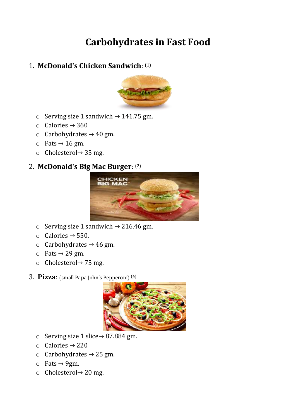# **Carbohydrates in Fast Food**

## 1. **McDonald's Chicken Sandwich**: (1)



- $\circ$  Serving size 1 sandwich → 141.75 gm.
- $\circ$  Calories  $\rightarrow$  360
- $\circ$  Carbohydrates  $\rightarrow$  40 gm.
- $\circ$  Fats  $\rightarrow$  16 gm.
- o Cholesterol→ 35 mg.

### 2. **McDonald's Big Mac Burger**: (2)



- $\circ$  Serving size 1 sandwich → 216.46 gm.
- o Calories → 550.
- $\circ$  Carbohydrates  $\rightarrow$  46 gm.
- $\circ$  Fats  $\rightarrow$  29 gm.
- o Cholesterol→ 75 mg.
- 3. **Pizza**: (small Papa John's Pepperoni) (4)



- $\circ$  Serving size 1 slice→ 87.884 gm.
- $\circ$  Calories  $\rightarrow$  220
- $\circ$  Carbohydrates  $\rightarrow$  25 gm.
- $\circ$  Fats  $\rightarrow$  9gm.
- o Cholesterol→ 20 mg.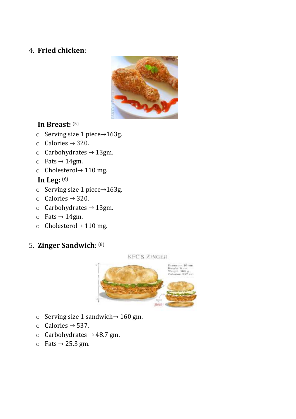## 4. **Fried chicken**:



# **In Breast:** (5)

- o Serving size 1 piece→163g.
- o Calories → 320.
- $\circ$  Carbohydrates  $\rightarrow$  13gm.
- $\circ$  Fats  $\rightarrow$  14gm.
- o Cholesterol→ 110 mg.

## **In Leg:** (6)

- o Serving size 1 piece→163g.
- o Calories → 320.
- $\circ$  Carbohydrates  $\rightarrow$  13gm.
- $\circ$  Fats  $\rightarrow$  14gm.
- o Cholesterol→ 110 mg.

# 5. **Zinger Sandwich**: (8)

**KFC'S ZINGER** 



- o Serving size 1 sandwich→ 160 gm.
- o Calories → 537.
- $\circ$  Carbohydrates  $\rightarrow$  48.7 gm.
- $\circ$  Fats  $\rightarrow$  25.3 gm.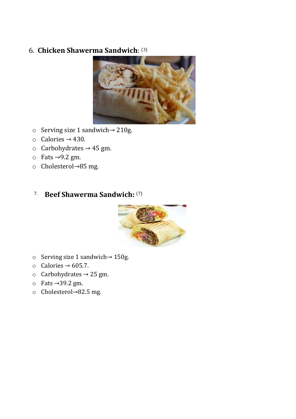## 6. **Chicken Shawerma Sandwich**: (3)



- o Serving size 1 sandwich→ 210g.
- $\circ$  Calories  $\rightarrow$  430.
- $\circ$  Carbohydrates  $\rightarrow$  45 gm.
- $\circ$  Fats →9.2 gm.
- o Cholesterol→85 mg.

#### 7. **Beef Shawerma Sandwich:** (7)



- o Serving size 1 sandwich→ 150g.
- o Calories → 605.7.
- $\circ$  Carbohydrates  $\rightarrow$  25 gm.
- o Fats →39.2 gm.
- o Cholesterol→82.5 mg.